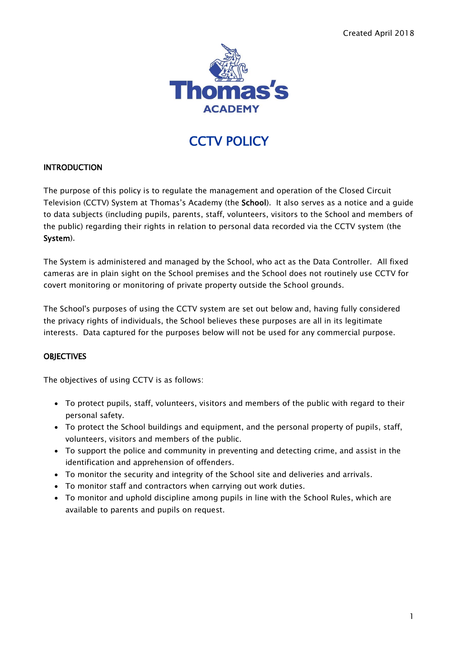

# **CCTV POLICY**

#### **INTRODUCTION**

The purpose of this policy is to regulate the management and operation of the Closed Circuit Television (CCTV) System at Thomas's Academy (the School). It also serves as a notice and a guide to data subjects (including pupils, parents, staff, volunteers, visitors to the School and members of the public) regarding their rights in relation to personal data recorded via the CCTV system (the System).

The System is administered and managed by the School, who act as the Data Controller. All fixed cameras are in plain sight on the School premises and the School does not routinely use CCTV for covert monitoring or monitoring of private property outside the School grounds.

The School's purposes of using the CCTV system are set out below and, having fully considered the privacy rights of individuals, the School believes these purposes are all in its legitimate interests. Data captured for the purposes below will not be used for any commercial purpose.

# **OBJECTIVES**

The objectives of using CCTV is as follows:

- To protect pupils, staff, volunteers, visitors and members of the public with regard to their personal safety.
- To protect the School buildings and equipment, and the personal property of pupils, staff, volunteers, visitors and members of the public.
- To support the police and community in preventing and detecting crime, and assist in the identification and apprehension of offenders.
- To monitor the security and integrity of the School site and deliveries and arrivals.
- To monitor staff and contractors when carrying out work duties.
- To monitor and uphold discipline among pupils in line with the School Rules, which are available to parents and pupils on request.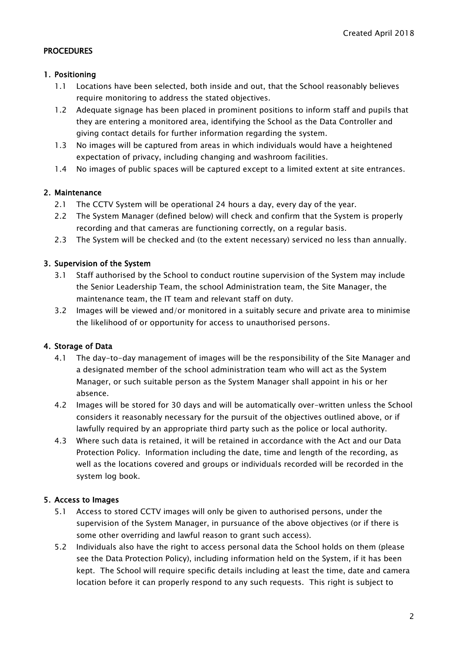#### **PROCEDURES**

#### 1. Positioning

- 1.1 Locations have been selected, both inside and out, that the School reasonably believes require monitoring to address the stated objectives.
- 1.2 Adequate signage has been placed in prominent positions to inform staff and pupils that they are entering a monitored area, identifying the School as the Data Controller and giving contact details for further information regarding the system.
- 1.3 No images will be captured from areas in which individuals would have a heightened expectation of privacy, including changing and washroom facilities.
- 1.4 No images of public spaces will be captured except to a limited extent at site entrances.

# 2. Maintenance

- 2.1 The CCTV System will be operational 24 hours a day, every day of the year.
- 2.2 The System Manager (defined below) will check and confirm that the System is properly recording and that cameras are functioning correctly, on a regular basis.
- 2.3 The System will be checked and (to the extent necessary) serviced no less than annually.

# 3. Supervision of the System

- 3.1 Staff authorised by the School to conduct routine supervision of the System may include the Senior Leadership Team, the school Administration team, the Site Manager, the maintenance team, the IT team and relevant staff on duty.
- 3.2 Images will be viewed and/or monitored in a suitably secure and private area to minimise the likelihood of or opportunity for access to unauthorised persons.

# 4. Storage of Data

- 4.1 The day-to-day management of images will be the responsibility of the Site Manager and a designated member of the school administration team who will act as the System Manager, or such suitable person as the System Manager shall appoint in his or her absence.
- 4.2 Images will be stored for 30 days and will be automatically over-written unless the School considers it reasonably necessary for the pursuit of the objectives outlined above, or if lawfully required by an appropriate third party such as the police or local authority.
- 4.3 Where such data is retained, it will be retained in accordance with the Act and our Data Protection Policy. Information including the date, time and length of the recording, as well as the locations covered and groups or individuals recorded will be recorded in the system log book.

# 5. Access to Images

- 5.1 Access to stored CCTV images will only be given to authorised persons, under the supervision of the System Manager, in pursuance of the above objectives (or if there is some other overriding and lawful reason to grant such access).
- 5.2 Individuals also have the right to access personal data the School holds on them (please see the Data Protection Policy), including information held on the System, if it has been kept. The School will require specific details including at least the time, date and camera location before it can properly respond to any such requests. This right is subject to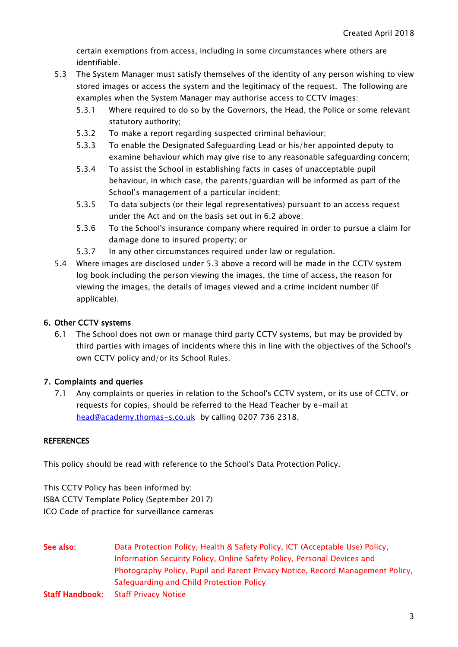certain exemptions from access, including in some circumstances where others are identifiable.

- 5.3 The System Manager must satisfy themselves of the identity of any person wishing to view stored images or access the system and the legitimacy of the request. The following are examples when the System Manager may authorise access to CCTV images:
	- 5.3.1 Where required to do so by the Governors, the Head, the Police or some relevant statutory authority;
	- 5.3.2 To make a report regarding suspected criminal behaviour;
	- 5.3.3 To enable the Designated Safeguarding Lead or his/her appointed deputy to examine behaviour which may give rise to any reasonable safeguarding concern;
	- 5.3.4 To assist the School in establishing facts in cases of unacceptable pupil behaviour, in which case, the parents/guardian will be informed as part of the School's management of a particular incident;
	- 5.3.5 To data subjects (or their legal representatives) pursuant to an access request under the Act and on the basis set out in 6.2 above;
	- 5.3.6 To the School's insurance company where required in order to pursue a claim for damage done to insured property; or
	- 5.3.7 In any other circumstances required under law or regulation.
- 5.4 Where images are disclosed under 5.3 above a record will be made in the CCTV system log book including the person viewing the images, the time of access, the reason for viewing the images, the details of images viewed and a crime incident number (if applicable).

#### 6. Other CCTV systems

6.1 The School does not own or manage third party CCTV systems, but may be provided by third parties with images of incidents where this in line with the objectives of the School's own CCTV policy and/or its School Rules.

# 7. Complaints and queries

7.1 Any complaints or queries in relation to the School's CCTV system, or its use of CCTV, or requests for copies, should be referred to the Head Teacher by e-mail at [head@academy.thomas-s.co.uk](mailto:head@academy.thomas-s.co.uk) by calling 0207 736 2318.

#### **REFERENCES**

This policy should be read with reference to the School's Data Protection Policy.

This CCTV Policy has been informed by: ISBA CCTV Template Policy (September 2017) ICO Code of practice for surveillance cameras

See also: Data Protection Policy, Health & Safety Policy, ICT (Acceptable Use) Policy, Information Security Policy, Online Safety Policy, Personal Devices and Photography Policy, Pupil and Parent Privacy Notice, Record Management Policy, Safeguarding and Child Protection Policy Staff Handbook: Staff Privacy Notice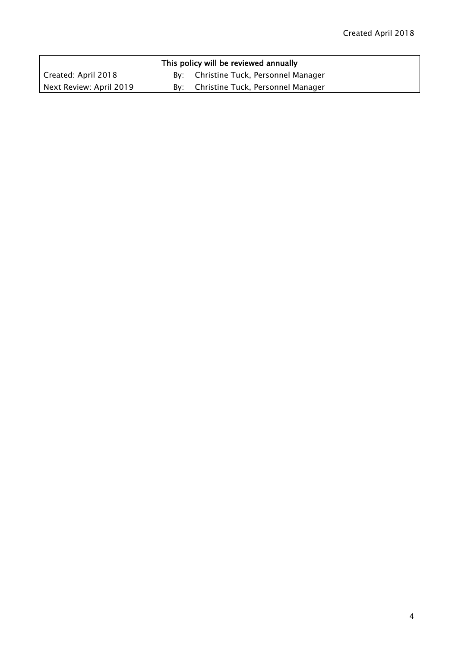| This policy will be reviewed annually |  |                                         |  |
|---------------------------------------|--|-----------------------------------------|--|
| Created: April 2018                   |  | By:   Christine Tuck, Personnel Manager |  |
| Next Review: April 2019               |  | By:   Christine Tuck, Personnel Manager |  |